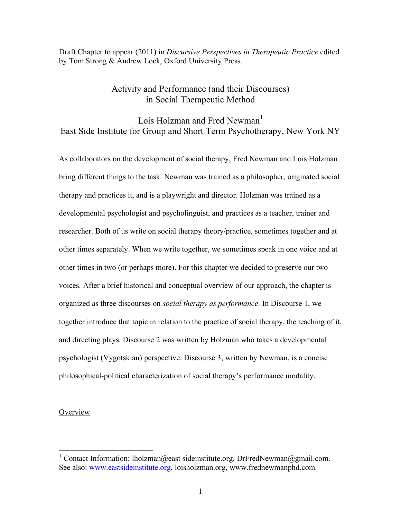Draft Chapter to appear (2011) in *Discursive Perspectives in Therapeutic Practice* edited by Tom Strong & Andrew Lock, Oxford University Press.

# Activity and Performance (and their Discourses) in Social Therapeutic Method

Lois Holzman and Fred Newman<sup>1</sup> East Side Institute for Group and Short Term Psychotherapy, New York NY

As collaborators on the development of social therapy, Fred Newman and Lois Holzman bring different things to the task. Newman was trained as a philosopher, originated social therapy and practices it, and is a playwright and director. Holzman was trained as a developmental psychologist and psycholinguist, and practices as a teacher, trainer and researcher. Both of us write on social therapy theory/practice, sometimes together and at other times separately. When we write together, we sometimes speak in one voice and at other times in two (or perhaps more). For this chapter we decided to preserve our two voices. After a brief historical and conceptual overview of our approach, the chapter is organized as three discourses on *social therapy as performance*. In Discourse 1, we together introduce that topic in relation to the practice of social therapy, the teaching of it, and directing plays. Discourse 2 was written by Holzman who takes a developmental psychologist (Vygotskian) perspective. Discourse 3, written by Newman, is a concise philosophical-political characterization of social therapy's performance modality.

# **Overview**

<sup>&</sup>lt;sup>1</sup> Contact Information: lholzman@east sideinstitute.org, DrFredNewman@gmail.com. See also: www.eastsideinstitute.org, loisholzman.org, www.frednewmanphd.com.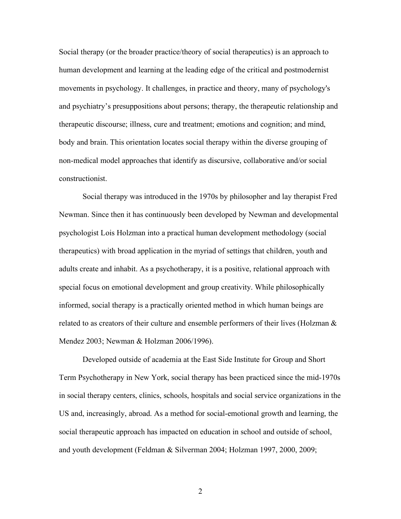Social therapy (or the broader practice/theory of social therapeutics) is an approach to human development and learning at the leading edge of the critical and postmodernist movements in psychology. It challenges, in practice and theory, many of psychology's and psychiatry's presuppositions about persons; therapy, the therapeutic relationship and therapeutic discourse; illness, cure and treatment; emotions and cognition; and mind, body and brain. This orientation locates social therapy within the diverse grouping of non-medical model approaches that identify as discursive, collaborative and/or social constructionist.

Social therapy was introduced in the 1970s by philosopher and lay therapist Fred Newman. Since then it has continuously been developed by Newman and developmental psychologist Lois Holzman into a practical human development methodology (social therapeutics) with broad application in the myriad of settings that children, youth and adults create and inhabit. As a psychotherapy, it is a positive, relational approach with special focus on emotional development and group creativity. While philosophically informed, social therapy is a practically oriented method in which human beings are related to as creators of their culture and ensemble performers of their lives (Holzman & Mendez 2003; Newman & Holzman 2006/1996).

Developed outside of academia at the East Side Institute for Group and Short Term Psychotherapy in New York, social therapy has been practiced since the mid-1970s in social therapy centers, clinics, schools, hospitals and social service organizations in the US and, increasingly, abroad. As a method for social-emotional growth and learning, the social therapeutic approach has impacted on education in school and outside of school, and youth development (Feldman & Silverman 2004; Holzman 1997, 2000, 2009;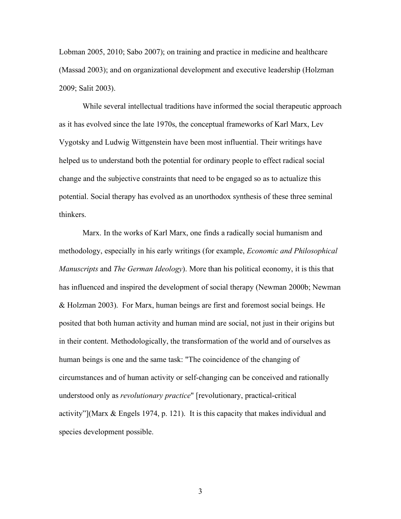Lobman 2005, 2010; Sabo 2007); on training and practice in medicine and healthcare (Massad 2003); and on organizational development and executive leadership (Holzman 2009; Salit 2003).

While several intellectual traditions have informed the social therapeutic approach as it has evolved since the late 1970s, the conceptual frameworks of Karl Marx, Lev Vygotsky and Ludwig Wittgenstein have been most influential. Their writings have helped us to understand both the potential for ordinary people to effect radical social change and the subjective constraints that need to be engaged so as to actualize this potential. Social therapy has evolved as an unorthodox synthesis of these three seminal thinkers.

Marx. In the works of Karl Marx, one finds a radically social humanism and methodology, especially in his early writings (for example, *Economic and Philosophical Manuscripts* and *The German Ideology*). More than his political economy, it is this that has influenced and inspired the development of social therapy (Newman 2000b; Newman & Holzman 2003). For Marx, human beings are first and foremost social beings. He posited that both human activity and human mind are social, not just in their origins but in their content. Methodologically, the transformation of the world and of ourselves as human beings is one and the same task: "The coincidence of the changing of circumstances and of human activity or self-changing can be conceived and rationally understood only as *revolutionary practice*" [revolutionary, practical-critical activity"](Marx & Engels 1974, p. 121). It is this capacity that makes individual and species development possible.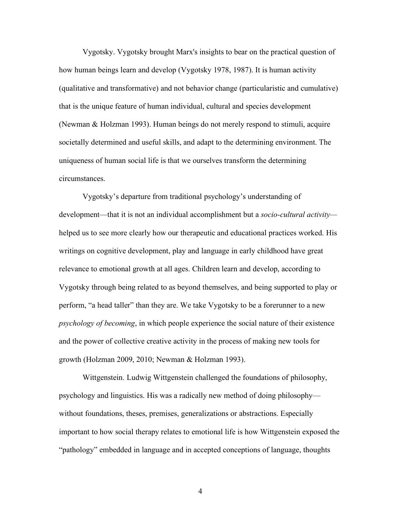Vygotsky. Vygotsky brought Marx's insights to bear on the practical question of how human beings learn and develop (Vygotsky 1978, 1987). It is human activity (qualitative and transformative) and not behavior change (particularistic and cumulative) that is the unique feature of human individual, cultural and species development (Newman & Holzman 1993). Human beings do not merely respond to stimuli, acquire societally determined and useful skills, and adapt to the determining environment. The uniqueness of human social life is that we ourselves transform the determining circumstances.

Vygotsky's departure from traditional psychology's understanding of development—that it is not an individual accomplishment but a *socio-cultural activity* helped us to see more clearly how our therapeutic and educational practices worked. His writings on cognitive development, play and language in early childhood have great relevance to emotional growth at all ages. Children learn and develop, according to Vygotsky through being related to as beyond themselves, and being supported to play or perform, "a head taller" than they are. We take Vygotsky to be a forerunner to a new *psychology of becoming*, in which people experience the social nature of their existence and the power of collective creative activity in the process of making new tools for growth (Holzman 2009, 2010; Newman & Holzman 1993).

Wittgenstein. Ludwig Wittgenstein challenged the foundations of philosophy, psychology and linguistics. His was a radically new method of doing philosophy without foundations, theses, premises, generalizations or abstractions. Especially important to how social therapy relates to emotional life is how Wittgenstein exposed the "pathology" embedded in language and in accepted conceptions of language, thoughts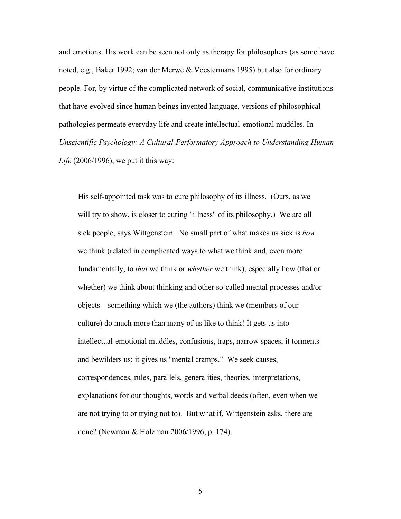and emotions. His work can be seen not only as therapy for philosophers (as some have noted, e.g., Baker 1992; van der Merwe & Voestermans 1995) but also for ordinary people. For, by virtue of the complicated network of social, communicative institutions that have evolved since human beings invented language, versions of philosophical pathologies permeate everyday life and create intellectual-emotional muddles. In *Unscientific Psychology: A Cultural-Performatory Approach to Understanding Human Life* (2006/1996), we put it this way:

His self-appointed task was to cure philosophy of its illness. (Ours, as we will try to show, is closer to curing "illness" of its philosophy.) We are all sick people, says Wittgenstein. No small part of what makes us sick is *how*  we think (related in complicated ways to what we think and, even more fundamentally, to *that* we think or *whether* we think), especially how (that or whether) we think about thinking and other so-called mental processes and/or objects—something which we (the authors) think we (members of our culture) do much more than many of us like to think! It gets us into intellectual-emotional muddles, confusions, traps, narrow spaces; it torments and bewilders us; it gives us "mental cramps." We seek causes, correspondences, rules, parallels, generalities, theories, interpretations, explanations for our thoughts, words and verbal deeds (often, even when we are not trying to or trying not to). But what if, Wittgenstein asks, there are none? (Newman & Holzman 2006/1996, p. 174).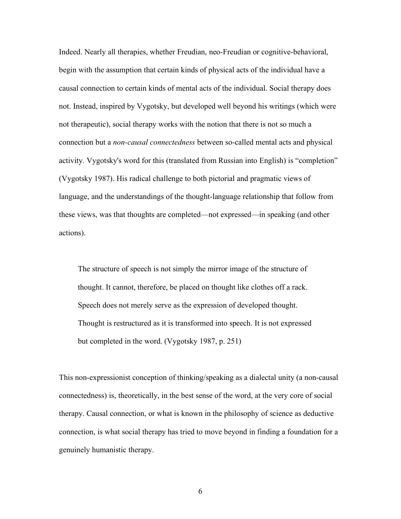Indeed. Nearly all therapies, whether Freudian, neo-Freudian or cognitive-behavioral, begin with the assumption that certain kinds of physical acts of the individual have a causal connection to certain kinds of mental acts of the individual. Social therapy does not. Instead, inspired by Vygotsky, but developed well beyond his writings (which were not therapeutic), social therapy works with the notion that there is not so much a connection but a *non-causal connectedness* between so-called mental acts and physical activity. Vygotsky's word for this (translated from Russian into English) is "completion" (Vygotsky 1987). His radical challenge to both pictorial and pragmatic views of language, and the understandings of the thought-language relationship that follow from these views, was that thoughts are completed—not expressed—in speaking (and other actions).

The structure of speech is not simply the mirror image of the structure of thought. It cannot, therefore, be placed on thought like clothes off a rack. Speech does not merely serve as the expression of developed thought. Thought is restructured as it is transformed into speech. It is not expressed but completed in the word. (Vygotsky 1987, p. 251)

This non-expressionist conception of thinking/speaking as a dialectal unity (a non-causal connectedness) is, theoretically, in the best sense of the word, at the very core of social therapy. Causal connection, or what is known in the philosophy of science as deductive connection, is what social therapy has tried to move beyond in finding a foundation for a genuinely humanistic therapy.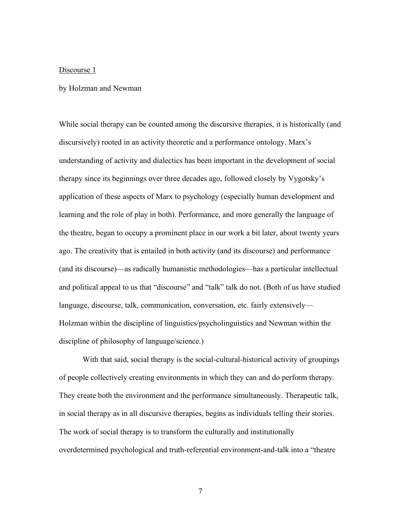# Discourse 1

# by Holzman and Newman

While social therapy can be counted among the discursive therapies, it is historically (and discursively) rooted in an activity theoretic and a performance ontology. Marx's understanding of activity and dialectics has been important in the development of social therapy since its beginnings over three decades ago, followed closely by Vygotsky's application of these aspects of Marx to psychology (especially human development and learning and the role of play in both). Performance, and more generally the language of the theatre, began to occupy a prominent place in our work a bit later, about twenty years ago. The creativity that is entailed in both activity (and its discourse) and performance (and its discourse)—as radically humanistic methodologies—has a particular intellectual and political appeal to us that "discourse" and "talk" talk do not. (Both of us have studied language, discourse, talk, communication, conversation, etc. fairly extensively— Holzman within the discipline of linguistics/psycholinguistics and Newman within the discipline of philosophy of language/science.)

With that said, social therapy is the social-cultural-historical activity of groupings of people collectively creating environments in which they can and do perform therapy. They create both the environment and the performance simultaneously. Therapeutic talk, in social therapy as in all discursive therapies, begins as individuals telling their stories. The work of social therapy is to transform the culturally and institutionally overdetermined psychological and truth-referential environment-and-talk into a "theatre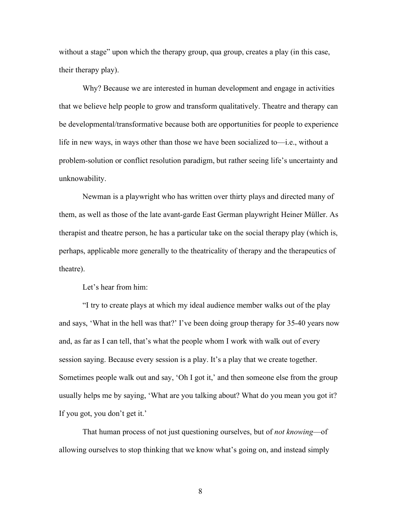without a stage" upon which the therapy group, qua group, creates a play (in this case, their therapy play).

Why? Because we are interested in human development and engage in activities that we believe help people to grow and transform qualitatively. Theatre and therapy can be developmental/transformative because both are opportunities for people to experience life in new ways, in ways other than those we have been socialized to—i.e., without a problem-solution or conflict resolution paradigm, but rather seeing life's uncertainty and unknowability.

Newman is a playwright who has written over thirty plays and directed many of them, as well as those of the late avant-garde East German playwright Heiner Müller. As therapist and theatre person, he has a particular take on the social therapy play (which is, perhaps, applicable more generally to the theatricality of therapy and the therapeutics of theatre).

Let's hear from him:

"I try to create plays at which my ideal audience member walks out of the play and says, 'What in the hell was that?' I've been doing group therapy for 35-40 years now and, as far as I can tell, that's what the people whom I work with walk out of every session saying. Because every session is a play. It's a play that we create together. Sometimes people walk out and say, 'Oh I got it,' and then someone else from the group usually helps me by saying, 'What are you talking about? What do you mean you got it? If you got, you don't get it.'

That human process of not just questioning ourselves, but of *not knowing*—of allowing ourselves to stop thinking that we know what's going on, and instead simply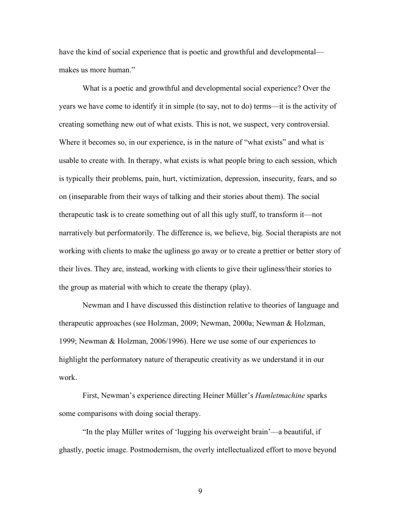have the kind of social experience that is poetic and growthful and developmental makes us more human."

What is a poetic and growthful and developmental social experience? Over the years we have come to identify it in simple (to say, not to do) terms—it is the activity of creating something new out of what exists. This is not, we suspect, very controversial. Where it becomes so, in our experience, is in the nature of "what exists" and what is usable to create with. In therapy, what exists is what people bring to each session, which is typically their problems, pain, hurt, victimization, depression, insecurity, fears, and so on (inseparable from their ways of talking and their stories about them). The social therapeutic task is to create something out of all this ugly stuff, to transform it—not narratively but performatorily. The difference is, we believe, big. Social therapists are not working with clients to make the ugliness go away or to create a prettier or better story of their lives. They are, instead, working with clients to give their ugliness/their stories to the group as material with which to create the therapy (play).

Newman and I have discussed this distinction relative to theories of language and therapeutic approaches (see Holzman, 2009; Newman, 2000a; Newman & Holzman, 1999; Newman & Holzman, 2006/1996). Here we use some of our experiences to highlight the performatory nature of therapeutic creativity as we understand it in our work.

First, Newman's experience directing Heiner Müller's *Hamletmachine* sparks some comparisons with doing social therapy.

"In the play Müller writes of 'lugging his overweight brain'—a beautiful, if ghastly, poetic image. Postmodernism, the overly intellectualized effort to move beyond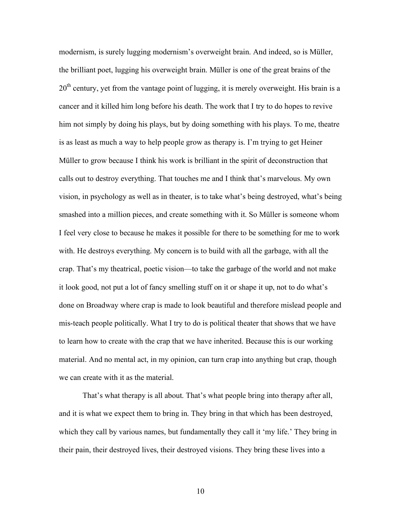modernism, is surely lugging modernism's overweight brain. And indeed, so is Müller, the brilliant poet, lugging his overweight brain. Müller is one of the great brains of the  $20<sup>th</sup>$  century, vet from the vantage point of lugging, it is merely overweight. His brain is a cancer and it killed him long before his death. The work that I try to do hopes to revive him not simply by doing his plays, but by doing something with his plays. To me, theatre is as least as much a way to help people grow as therapy is. I'm trying to get Heiner Müller to grow because I think his work is brilliant in the spirit of deconstruction that calls out to destroy everything. That touches me and I think that's marvelous. My own vision, in psychology as well as in theater, is to take what's being destroyed, what's being smashed into a million pieces, and create something with it. So Müller is someone whom I feel very close to because he makes it possible for there to be something for me to work with. He destroys everything. My concern is to build with all the garbage, with all the crap. That's my theatrical, poetic vision—to take the garbage of the world and not make it look good, not put a lot of fancy smelling stuff on it or shape it up, not to do what's done on Broadway where crap is made to look beautiful and therefore mislead people and mis-teach people politically. What I try to do is political theater that shows that we have to learn how to create with the crap that we have inherited. Because this is our working material. And no mental act, in my opinion, can turn crap into anything but crap, though we can create with it as the material.

That's what therapy is all about. That's what people bring into therapy after all, and it is what we expect them to bring in. They bring in that which has been destroyed, which they call by various names, but fundamentally they call it 'my life.' They bring in their pain, their destroyed lives, their destroyed visions. They bring these lives into a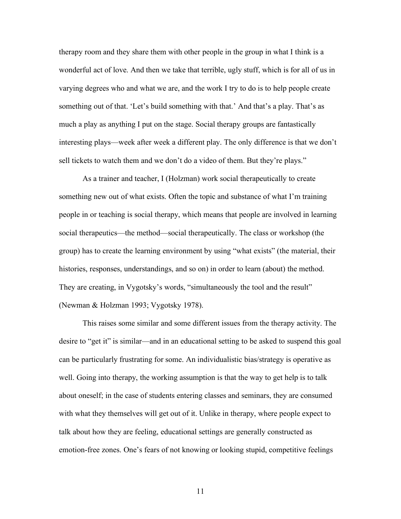therapy room and they share them with other people in the group in what I think is a wonderful act of love. And then we take that terrible, ugly stuff, which is for all of us in varying degrees who and what we are, and the work I try to do is to help people create something out of that. 'Let's build something with that.' And that's a play. That's as much a play as anything I put on the stage. Social therapy groups are fantastically interesting plays—week after week a different play. The only difference is that we don't sell tickets to watch them and we don't do a video of them. But they're plays."

As a trainer and teacher, I (Holzman) work social therapeutically to create something new out of what exists. Often the topic and substance of what I'm training people in or teaching is social therapy, which means that people are involved in learning social therapeutics—the method—social therapeutically. The class or workshop (the group) has to create the learning environment by using "what exists" (the material, their histories, responses, understandings, and so on) in order to learn (about) the method. They are creating, in Vygotsky's words, "simultaneously the tool and the result" (Newman & Holzman 1993; Vygotsky 1978).

This raises some similar and some different issues from the therapy activity. The desire to "get it" is similar—and in an educational setting to be asked to suspend this goal can be particularly frustrating for some. An individualistic bias/strategy is operative as well. Going into therapy, the working assumption is that the way to get help is to talk about oneself; in the case of students entering classes and seminars, they are consumed with what they themselves will get out of it. Unlike in therapy, where people expect to talk about how they are feeling, educational settings are generally constructed as emotion-free zones. One's fears of not knowing or looking stupid, competitive feelings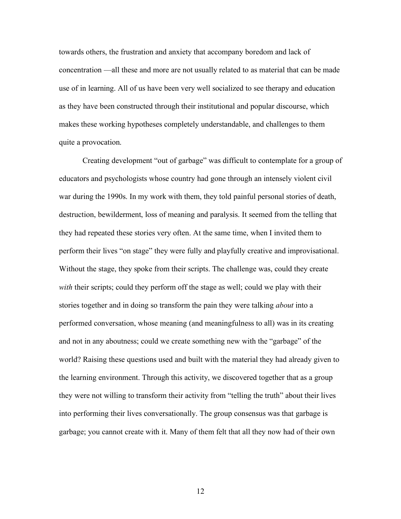towards others, the frustration and anxiety that accompany boredom and lack of concentration —all these and more are not usually related to as material that can be made use of in learning. All of us have been very well socialized to see therapy and education as they have been constructed through their institutional and popular discourse, which makes these working hypotheses completely understandable, and challenges to them quite a provocation.

Creating development "out of garbage" was difficult to contemplate for a group of educators and psychologists whose country had gone through an intensely violent civil war during the 1990s. In my work with them, they told painful personal stories of death, destruction, bewilderment, loss of meaning and paralysis. It seemed from the telling that they had repeated these stories very often. At the same time, when I invited them to perform their lives "on stage" they were fully and playfully creative and improvisational. Without the stage, they spoke from their scripts. The challenge was, could they create *with* their scripts; could they perform off the stage as well; could we play with their stories together and in doing so transform the pain they were talking *about* into a performed conversation, whose meaning (and meaningfulness to all) was in its creating and not in any aboutness; could we create something new with the "garbage" of the world? Raising these questions used and built with the material they had already given to the learning environment. Through this activity, we discovered together that as a group they were not willing to transform their activity from "telling the truth" about their lives into performing their lives conversationally. The group consensus was that garbage is garbage; you cannot create with it. Many of them felt that all they now had of their own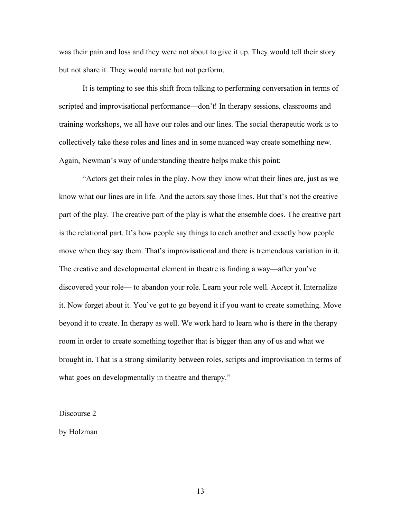was their pain and loss and they were not about to give it up. They would tell their story but not share it. They would narrate but not perform.

It is tempting to see this shift from talking to performing conversation in terms of scripted and improvisational performance—don't! In therapy sessions, classrooms and training workshops, we all have our roles and our lines. The social therapeutic work is to collectively take these roles and lines and in some nuanced way create something new. Again, Newman's way of understanding theatre helps make this point:

"Actors get their roles in the play. Now they know what their lines are, just as we know what our lines are in life. And the actors say those lines. But that's not the creative part of the play. The creative part of the play is what the ensemble does. The creative part is the relational part. It's how people say things to each another and exactly how people move when they say them. That's improvisational and there is tremendous variation in it. The creative and developmental element in theatre is finding a way—after you've discovered your role— to abandon your role. Learn your role well. Accept it. Internalize it. Now forget about it. You've got to go beyond it if you want to create something. Move beyond it to create. In therapy as well. We work hard to learn who is there in the therapy room in order to create something together that is bigger than any of us and what we brought in. That is a strong similarity between roles, scripts and improvisation in terms of what goes on developmentally in theatre and therapy."

#### Discourse 2

# by Holzman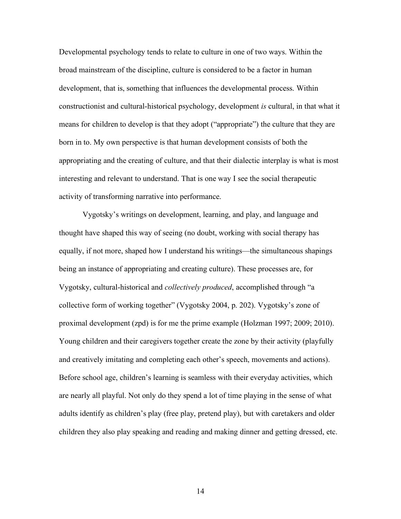Developmental psychology tends to relate to culture in one of two ways. Within the broad mainstream of the discipline, culture is considered to be a factor in human development, that is, something that influences the developmental process. Within constructionist and cultural-historical psychology, development *is* cultural, in that what it means for children to develop is that they adopt ("appropriate") the culture that they are born in to. My own perspective is that human development consists of both the appropriating and the creating of culture, and that their dialectic interplay is what is most interesting and relevant to understand. That is one way I see the social therapeutic activity of transforming narrative into performance.

Vygotsky's writings on development, learning, and play, and language and thought have shaped this way of seeing (no doubt, working with social therapy has equally, if not more, shaped how I understand his writings—the simultaneous shapings being an instance of appropriating and creating culture). These processes are, for Vygotsky, cultural-historical and *collectively produced*, accomplished through "a collective form of working together" (Vygotsky 2004, p. 202). Vygotsky's zone of proximal development (zpd) is for me the prime example (Holzman 1997; 2009; 2010). Young children and their caregivers together create the zone by their activity (playfully and creatively imitating and completing each other's speech, movements and actions). Before school age, children's learning is seamless with their everyday activities, which are nearly all playful. Not only do they spend a lot of time playing in the sense of what adults identify as children's play (free play, pretend play), but with caretakers and older children they also play speaking and reading and making dinner and getting dressed, etc.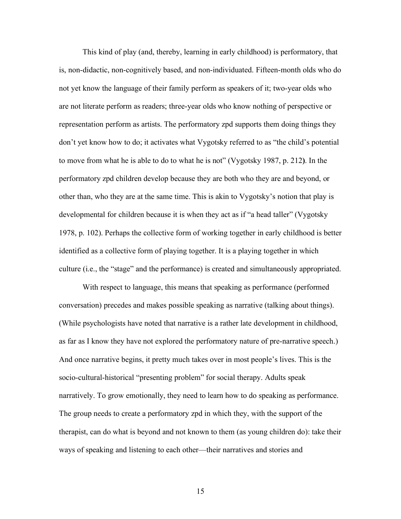This kind of play (and, thereby, learning in early childhood) is performatory, that is, non-didactic, non-cognitively based, and non-individuated. Fifteen-month olds who do not yet know the language of their family perform as speakers of it; two-year olds who are not literate perform as readers; three-year olds who know nothing of perspective or representation perform as artists. The performatory zpd supports them doing things they don't yet know how to do; it activates what Vygotsky referred to as "the child's potential to move from what he is able to do to what he is not" (Vygotsky 1987, p. 212**)**. In the performatory zpd children develop because they are both who they are and beyond, or other than, who they are at the same time. This is akin to Vygotsky's notion that play is developmental for children because it is when they act as if "a head taller" (Vygotsky 1978, p. 102). Perhaps the collective form of working together in early childhood is better identified as a collective form of playing together. It is a playing together in which culture (i.e., the "stage" and the performance) is created and simultaneously appropriated.

With respect to language, this means that speaking as performance (performed conversation) precedes and makes possible speaking as narrative (talking about things). (While psychologists have noted that narrative is a rather late development in childhood, as far as I know they have not explored the performatory nature of pre-narrative speech.) And once narrative begins, it pretty much takes over in most people's lives. This is the socio-cultural-historical "presenting problem" for social therapy. Adults speak narratively. To grow emotionally, they need to learn how to do speaking as performance. The group needs to create a performatory zpd in which they, with the support of the therapist, can do what is beyond and not known to them (as young children do): take their ways of speaking and listening to each other—their narratives and stories and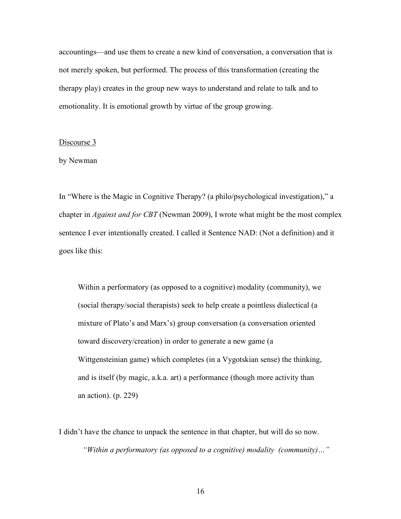accountings—and use them to create a new kind of conversation, a conversation that is not merely spoken, but performed. The process of this transformation (creating the therapy play) creates in the group new ways to understand and relate to talk and to emotionality. It is emotional growth by virtue of the group growing.

# Discourse 3

# by Newman

In "Where is the Magic in Cognitive Therapy? (a philo/psychological investigation)," a chapter in *Against and for CBT* (Newman 2009), I wrote what might be the most complex sentence I ever intentionally created. I called it Sentence NAD: (Not a definition) and it goes like this:

Within a performatory (as opposed to a cognitive) modality (community), we (social therapy/social therapists) seek to help create a pointless dialectical (a mixture of Plato's and Marx's) group conversation (a conversation oriented toward discovery/creation) in order to generate a new game (a Wittgensteinian game) which completes (in a Vygotskian sense) the thinking, and is itself (by magic, a.k.a. art) a performance (though more activity than an action). (p. 229)

I didn't have the chance to unpack the sentence in that chapter, but will do so now. *"Within a performatory (as opposed to a cognitive) modality (community)…"*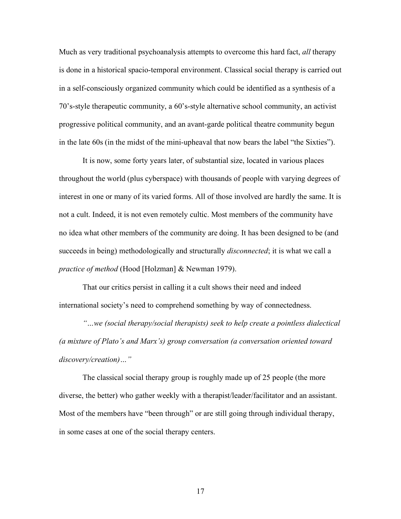Much as very traditional psychoanalysis attempts to overcome this hard fact, *all* therapy is done in a historical spacio-temporal environment. Classical social therapy is carried out in a self-consciously organized community which could be identified as a synthesis of a 70's-style therapeutic community, a 60's-style alternative school community, an activist progressive political community, and an avant-garde political theatre community begun in the late 60s (in the midst of the mini-upheaval that now bears the label "the Sixties").

It is now, some forty years later, of substantial size, located in various places throughout the world (plus cyberspace) with thousands of people with varying degrees of interest in one or many of its varied forms. All of those involved are hardly the same. It is not a cult. Indeed, it is not even remotely cultic. Most members of the community have no idea what other members of the community are doing. It has been designed to be (and succeeds in being) methodologically and structurally *disconnected*; it is what we call a *practice of method* (Hood [Holzman] & Newman 1979).

That our critics persist in calling it a cult shows their need and indeed international society's need to comprehend something by way of connectedness.

*"…we (social therapy/social therapists) seek to help create a pointless dialectical (a mixture of Plato's and Marx's) group conversation (a conversation oriented toward discovery/creation)…"*

The classical social therapy group is roughly made up of 25 people (the more diverse, the better) who gather weekly with a therapist/leader/facilitator and an assistant. Most of the members have "been through" or are still going through individual therapy, in some cases at one of the social therapy centers.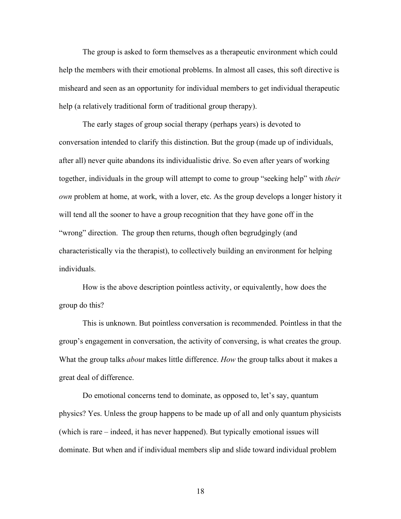The group is asked to form themselves as a therapeutic environment which could help the members with their emotional problems. In almost all cases, this soft directive is misheard and seen as an opportunity for individual members to get individual therapeutic help (a relatively traditional form of traditional group therapy).

The early stages of group social therapy (perhaps years) is devoted to conversation intended to clarify this distinction. But the group (made up of individuals, after all) never quite abandons its individualistic drive. So even after years of working together, individuals in the group will attempt to come to group "seeking help" with *their own* problem at home, at work, with a lover, etc. As the group develops a longer history it will tend all the sooner to have a group recognition that they have gone off in the "wrong" direction. The group then returns, though often begrudgingly (and characteristically via the therapist), to collectively building an environment for helping individuals.

How is the above description pointless activity, or equivalently, how does the group do this?

This is unknown. But pointless conversation is recommended. Pointless in that the group's engagement in conversation, the activity of conversing, is what creates the group. What the group talks *about* makes little difference. *How* the group talks about it makes a great deal of difference.

Do emotional concerns tend to dominate, as opposed to, let's say, quantum physics? Yes. Unless the group happens to be made up of all and only quantum physicists (which is rare – indeed, it has never happened). But typically emotional issues will dominate. But when and if individual members slip and slide toward individual problem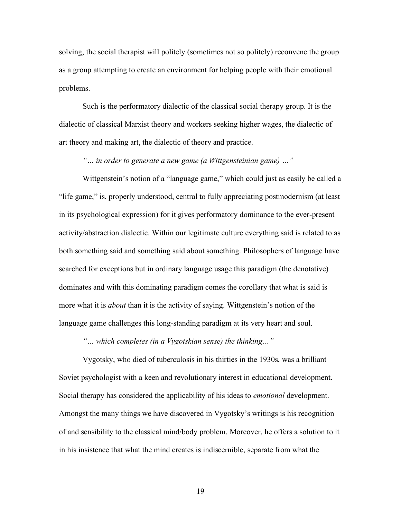solving, the social therapist will politely (sometimes not so politely) reconvene the group as a group attempting to create an environment for helping people with their emotional problems.

Such is the performatory dialectic of the classical social therapy group. It is the dialectic of classical Marxist theory and workers seeking higher wages, the dialectic of art theory and making art, the dialectic of theory and practice.

*"… in order to generate a new game (a Wittgensteinian game) …"*

Wittgenstein's notion of a "language game," which could just as easily be called a "life game," is, properly understood, central to fully appreciating postmodernism (at least in its psychological expression) for it gives performatory dominance to the ever-present activity/abstraction dialectic. Within our legitimate culture everything said is related to as both something said and something said about something. Philosophers of language have searched for exceptions but in ordinary language usage this paradigm (the denotative) dominates and with this dominating paradigm comes the corollary that what is said is more what it is *about* than it is the activity of saying. Wittgenstein's notion of the language game challenges this long-standing paradigm at its very heart and soul.

*"… which completes (in a Vygotskian sense) the thinking…"*

Vygotsky, who died of tuberculosis in his thirties in the 1930s, was a brilliant Soviet psychologist with a keen and revolutionary interest in educational development. Social therapy has considered the applicability of his ideas to *emotional* development. Amongst the many things we have discovered in Vygotsky's writings is his recognition of and sensibility to the classical mind/body problem. Moreover, he offers a solution to it in his insistence that what the mind creates is indiscernible, separate from what the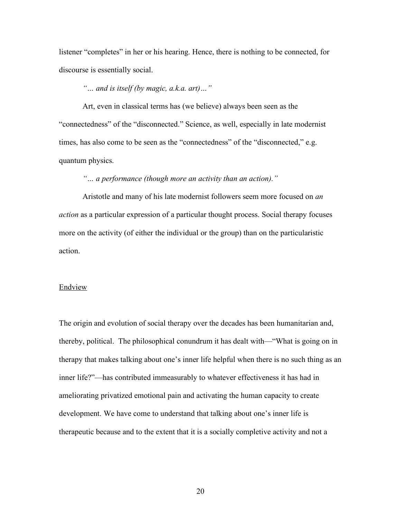listener "completes" in her or his hearing. Hence, there is nothing to be connected, for discourse is essentially social.

*"… and is itself (by magic, a.k.a. art)…"*

Art, even in classical terms has (we believe) always been seen as the "connectedness" of the "disconnected." Science, as well, especially in late modernist times, has also come to be seen as the "connectedness" of the "disconnected," e.g. quantum physics.

*"… a performance (though more an activity than an action)."*

Aristotle and many of his late modernist followers seem more focused on *an action* as a particular expression of a particular thought process. Social therapy focuses more on the activity (of either the individual or the group) than on the particularistic action.

#### Endview

The origin and evolution of social therapy over the decades has been humanitarian and, thereby, political. The philosophical conundrum it has dealt with—"What is going on in therapy that makes talking about one's inner life helpful when there is no such thing as an inner life?"—has contributed immeasurably to whatever effectiveness it has had in ameliorating privatized emotional pain and activating the human capacity to create development. We have come to understand that talking about one's inner life is therapeutic because and to the extent that it is a socially completive activity and not a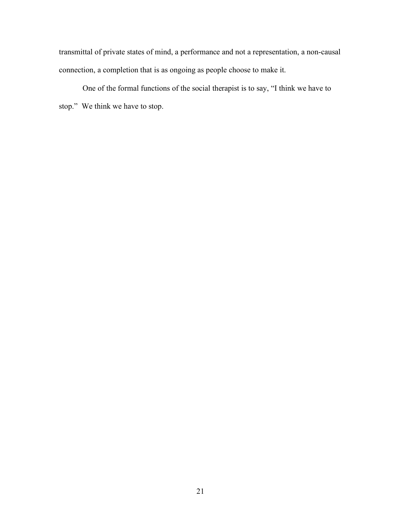transmittal of private states of mind, a performance and not a representation, a non-causal connection, a completion that is as ongoing as people choose to make it.

One of the formal functions of the social therapist is to say, "I think we have to stop." We think we have to stop.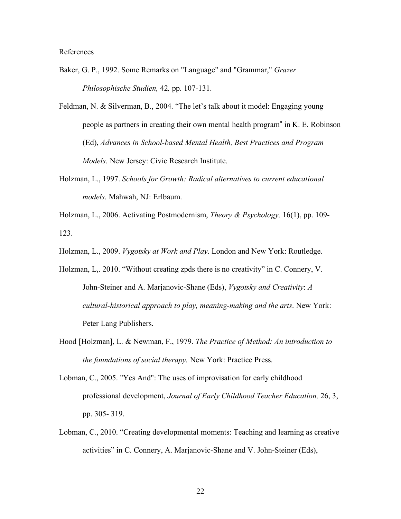- Baker, G. P., 1992. Some Remarks on "Language" and "Grammar," *Grazer Philosophische Studien,* 42*,* pp. 107-131.
- Feldman, N. & Silverman, B., 2004. "The let's talk about it model: Engaging young people as partners in creating their own mental health program" in K. E. Robinson (Ed), *Advances in School-based Mental Health, Best Practices and Program Models*. New Jersey: Civic Research Institute.
- Holzman, L., 1997. *Schools for Growth: Radical alternatives to current educational models*. Mahwah, NJ: Erlbaum.
- Holzman, L., 2006. Activating Postmodernism, *Theory & Psychology,* 16(1), pp. 109- 123.
- Holzman, L., 2009. *Vygotsky at Work and Play*. London and New York: Routledge.
- Holzman, L,. 2010. "Without creating zpds there is no creativity" in C. Connery, V. John-Steiner and A. Marjanovic-Shane (Eds), *Vygotsky and Creativity*: *A cultural-historical approach to play, meaning-making and the arts*. New York: Peter Lang Publishers.
- Hood [Holzman], L. & Newman, F., 1979. *The Practice of Method: An introduction to the foundations of social therapy.* New York: Practice Press.
- Lobman, C., 2005. "Yes And": The uses of improvisation for early childhood professional development, *Journal of Early Childhood Teacher Education,* 26, 3, pp. 305- 319.
- Lobman, C., 2010. "Creating developmental moments: Teaching and learning as creative activities" in C. Connery, A. Marjanovic-Shane and V. John-Steiner (Eds),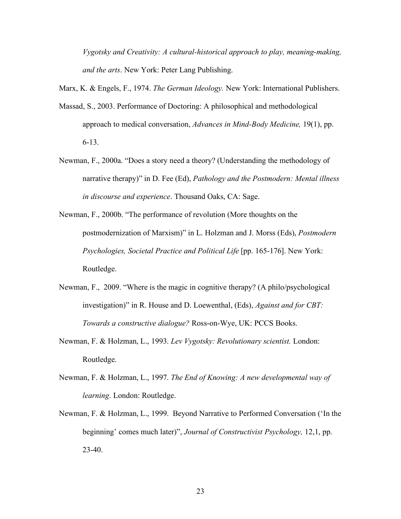*Vygotsky and Creativity: A cultural-historical approach to play, meaning-making, and the arts*. New York: Peter Lang Publishing.

Marx, K. & Engels, F., 1974. *The German Ideology.* New York: International Publishers.

- Massad, S., 2003. Performance of Doctoring: A philosophical and methodological approach to medical conversation, *Advances in Mind-Body Medicine,* 19(1), pp. 6-13.
- Newman, F., 2000a. "Does a story need a theory? (Understanding the methodology of narrative therapy)" in D. Fee (Ed), *Pathology and the Postmodern: Mental illness in discourse and experience*. Thousand Oaks, CA: Sage.
- Newman, F., 2000b. "The performance of revolution (More thoughts on the postmodernization of Marxism)" in L. Holzman and J. Morss (Eds), *Postmodern Psychologies, Societal Practice and Political Life* [pp. 165-176]. New York: Routledge.
- Newman, F., 2009. "Where is the magic in cognitive therapy? (A philo/psychological investigation)" in R. House and D. Loewenthal, (Eds), *Against and for CBT: Towards a constructive dialogue?* Ross-on-Wye, UK: PCCS Books.
- Newman, F. & Holzman, L., 1993. *Lev Vygotsky: Revolutionary scientist.* London: Routledge.
- Newman, F. & Holzman, L., 1997. *The End of Knowing: A new developmental way of learning*. London: Routledge.
- Newman, F. & Holzman, L., 1999. Beyond Narrative to Performed Conversation ('In the beginning' comes much later)", *Journal of Constructivist Psychology,* 12,1, pp. 23-40.